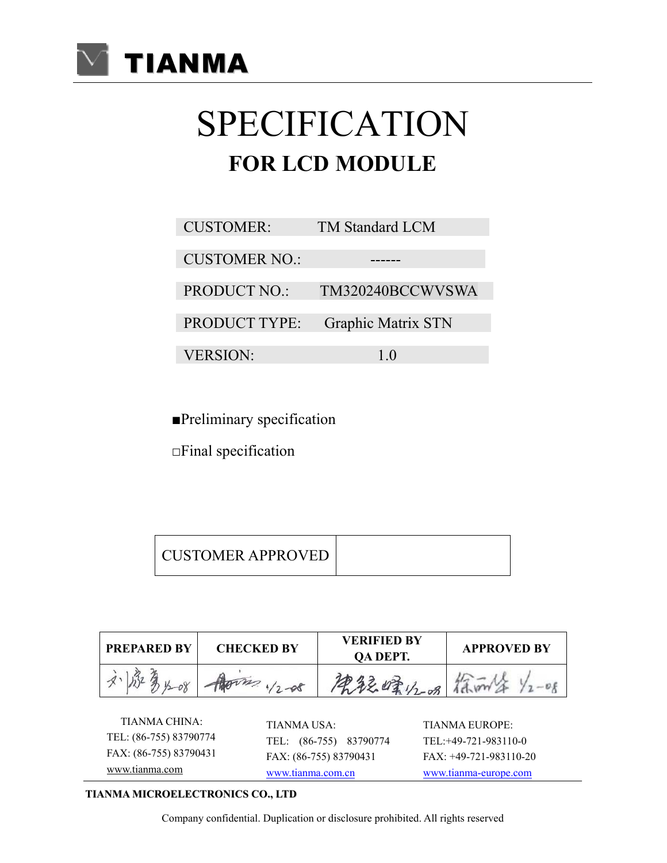

## SPECIFICATION **FOR LCD MODULE**

CUSTOMER: TM Standard LCM

**CUSTOMER NO.:** 

PRODUCT NO.: TM320240BCCWVSWA

PRODUCT TYPE: Graphic Matrix STN

VERSION: 1.0

 $\blacksquare$ Preliminary specification

ƑFinal specification

| <b>CUSTOMER APPROVED</b> |  |
|--------------------------|--|
|--------------------------|--|

| <b>PREPARED BY</b>                                                | <b>CHECKED BY</b>                   | <b>VERIFIED BY</b><br><b>QA DEPT.</b> | <b>APPROVED BY</b>                                                         |
|-------------------------------------------------------------------|-------------------------------------|---------------------------------------|----------------------------------------------------------------------------|
|                                                                   |                                     |                                       |                                                                            |
| TIANMA CHINA:<br>TEL: (86-755) 83790774<br>FAX: (86-755) 83790431 | <b>TIANMA USA:</b><br>TEL: (86-755) | 83790774<br>FAX: (86-755) 83790431    | <b>TIANMA EUROPE:</b><br>TEL: +49-721-983110-0<br>$FAX: +49-721-983110-20$ |
| www.tianma.com                                                    | www.tianma.com.cn                   |                                       | www.tianma-europe.com                                                      |

#### **TIANMA MICROELECTRONICS CO., LTD**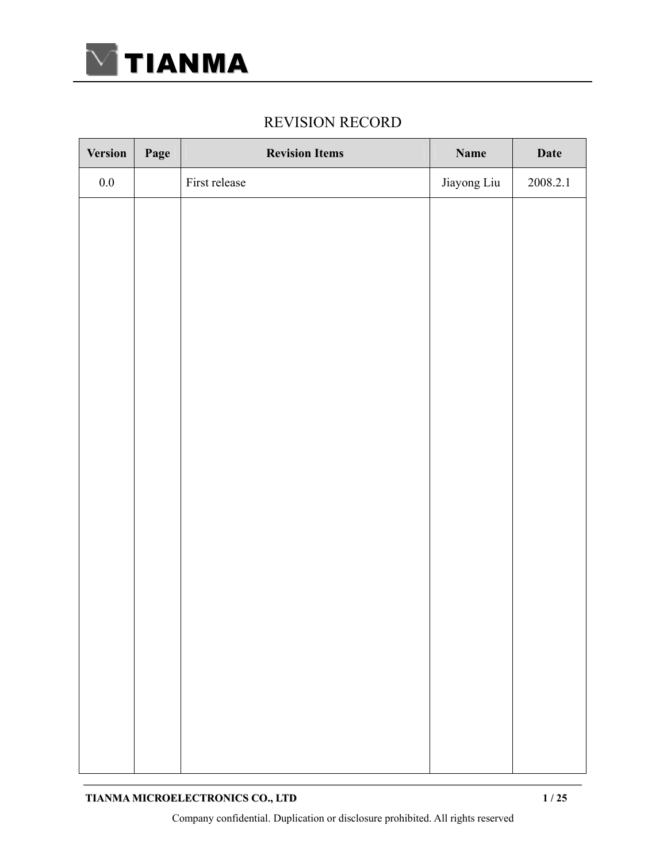

## REVISION RECORD

| Version | Page | <b>Revision Items</b> | <b>Name</b> | <b>Date</b> |
|---------|------|-----------------------|-------------|-------------|
| $0.0\,$ |      | First release         | Jiayong Liu | 2008.2.1    |
|         |      |                       |             |             |
|         |      |                       |             |             |
|         |      |                       |             |             |
|         |      |                       |             |             |
|         |      |                       |             |             |
|         |      |                       |             |             |
|         |      |                       |             |             |
|         |      |                       |             |             |
|         |      |                       |             |             |
|         |      |                       |             |             |
|         |      |                       |             |             |
|         |      |                       |             |             |
|         |      |                       |             |             |
|         |      |                       |             |             |
|         |      |                       |             |             |
|         |      |                       |             |             |
|         |      |                       |             |             |
|         |      |                       |             |             |
|         |      |                       |             |             |
|         |      |                       |             |             |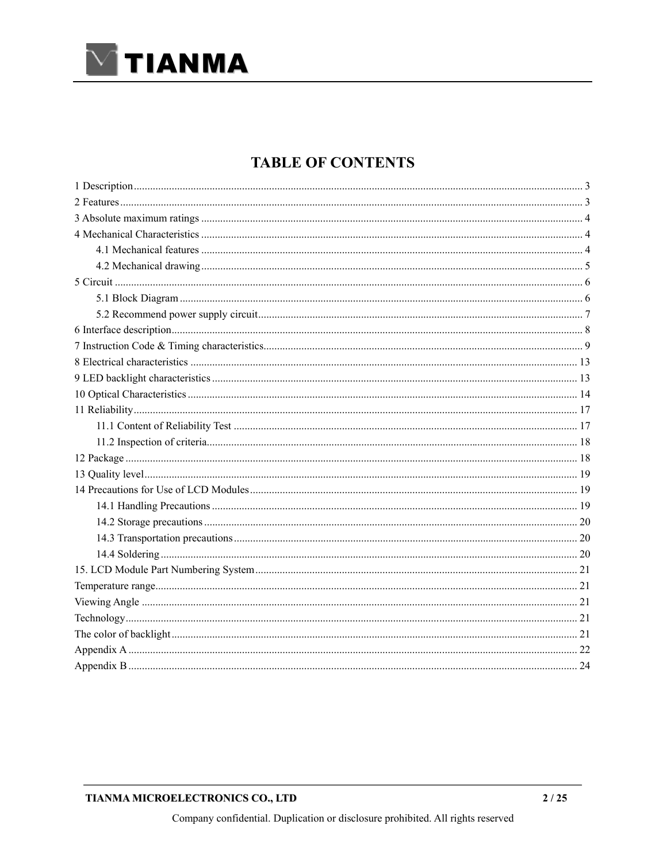

## **TABLE OF CONTENTS**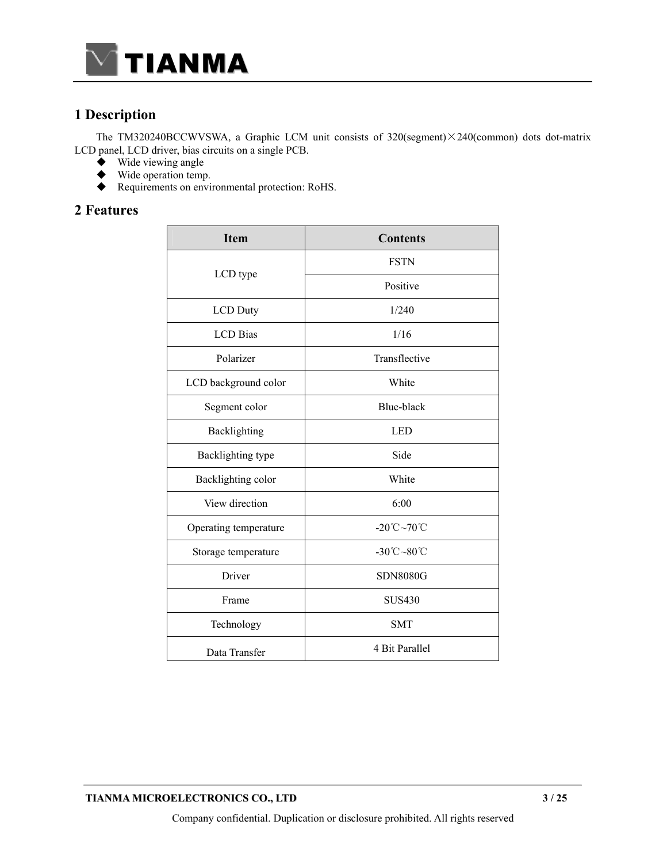

### **1 Description**

The TM320240BCCWVSWA, a Graphic LCM unit consists of  $320$ (segment) $\times$ 240(common) dots dot-matrix LCD panel, LCD driver, bias circuits on a single PCB.

- $\blacklozenge$  Wide viewing angle
- $\blacklozenge$  Wide operation temp.
- ◆ Requirements on environmental protection: RoHS.

#### **2 Features**

| <b>Item</b>           | <b>Contents</b>                 |  |  |  |
|-----------------------|---------------------------------|--|--|--|
|                       | <b>FSTN</b>                     |  |  |  |
| LCD type              | Positive                        |  |  |  |
| <b>LCD</b> Duty       | 1/240                           |  |  |  |
| <b>LCD</b> Bias       | 1/16                            |  |  |  |
| Polarizer             | Transflective                   |  |  |  |
| LCD background color  | White                           |  |  |  |
| Segment color         | Blue-black                      |  |  |  |
| Backlighting          | <b>LED</b>                      |  |  |  |
| Backlighting type     | Side                            |  |  |  |
| Backlighting color    | White                           |  |  |  |
| View direction        | 6:00                            |  |  |  |
| Operating temperature | $-20^{\circ}$ C $-70^{\circ}$ C |  |  |  |
| Storage temperature   | $-30^{\circ}$ C $-80^{\circ}$ C |  |  |  |
| Driver                | <b>SDN8080G</b>                 |  |  |  |
| Frame                 | <b>SUS430</b>                   |  |  |  |
| Technology            | <b>SMT</b>                      |  |  |  |
| Data Transfer         | 4 Bit Parallel                  |  |  |  |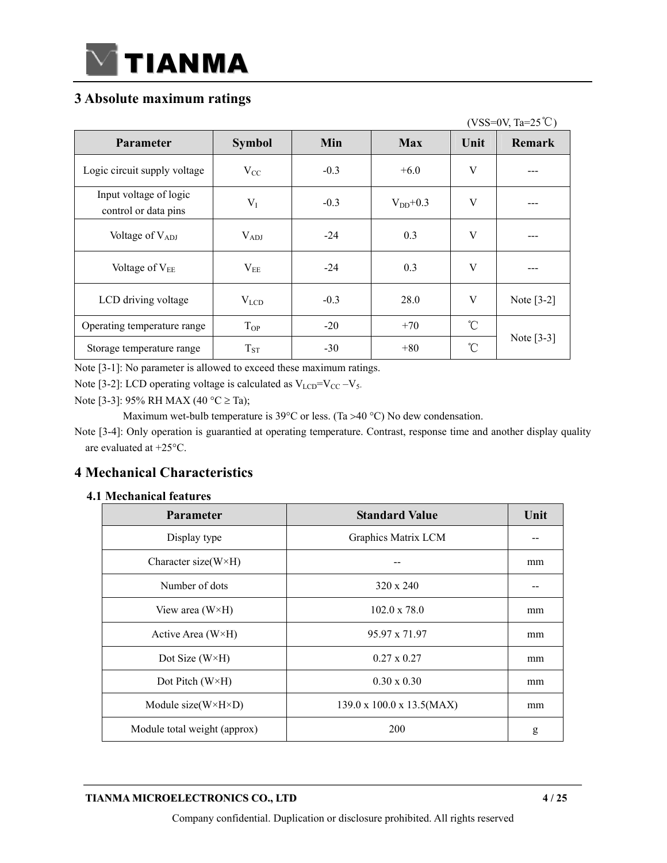## TIANMA

## **3 Absolute maximum ratings**

|                                                |               |        |              |                      | (VSS=0V, Ta= $25^{\circ}$ C) |
|------------------------------------------------|---------------|--------|--------------|----------------------|------------------------------|
| <b>Parameter</b>                               | <b>Symbol</b> | Min    | <b>Max</b>   | Unit                 | <b>Remark</b>                |
| Logic circuit supply voltage                   | $V_{CC}$      | $-0.3$ | $+6.0$       | V                    |                              |
| Input voltage of logic<br>control or data pins | $V_I$         | $-0.3$ | $V_{DD}+0.3$ | V                    |                              |
| Voltage of V <sub>ADJ</sub>                    | $V_{ADJ}$     | $-24$  | 0.3          | V                    |                              |
| Voltage of $V_{EE}$                            | $V_{EE}$      | $-24$  | 0.3          | V                    |                              |
| LCD driving voltage                            | $V_{LCD}$     | $-0.3$ | 28.0         | V                    | Note $[3-2]$                 |
| Operating temperature range                    | Top           | $-20$  | $+70$        | $\mathrm{C}^{\circ}$ |                              |
| Storage temperature range                      | $T_{ST}$      | $-30$  | $+80$        | $\rm ^{\circ}C$      | Note [3-3]                   |

Note [3-1]: No parameter is allowed to exceed these maximum ratings.

Note [3-2]: LCD operating voltage is calculated as  $V_{LCD} = V_{CC} - V_5$ .

Note [3-3]: 95% RH MAX (40 °C  $\geq$  Ta);

Maximum wet-bulb temperature is 39 $\degree$ C or less. (Ta >40  $\degree$ C) No dew condensation.

Note [3-4]: Only operation is guarantied at operating temperature. Contrast, response time and another display quality are evaluated at +25°C.

## **4 Mechanical Characteristics**

#### **4.1 Mechanical features**

| <b>Parameter</b>                     | <b>Standard Value</b>                 | Unit |
|--------------------------------------|---------------------------------------|------|
| Display type                         | Graphics Matrix LCM                   |      |
| Character size( $W \times H$ )       |                                       | mm   |
| Number of dots                       | $320 \times 240$                      |      |
| View area $(W \times H)$             | $102.0 \times 78.0$                   | mm   |
| Active Area $(W \times H)$           | 95.97 x 71.97                         | mm   |
| Dot Size $(W \times H)$              | $0.27 \times 0.27$                    | mm   |
| Dot Pitch $(W \times H)$             | $0.30 \times 0.30$                    | mm   |
| Module size( $W \times H \times D$ ) | $139.0 \times 100.0 \times 13.5(MAX)$ | mm   |
| Module total weight (approx)         | 200                                   | g    |

#### **TIANMA MICROELECTRONICS CO., LTD 4 / 25**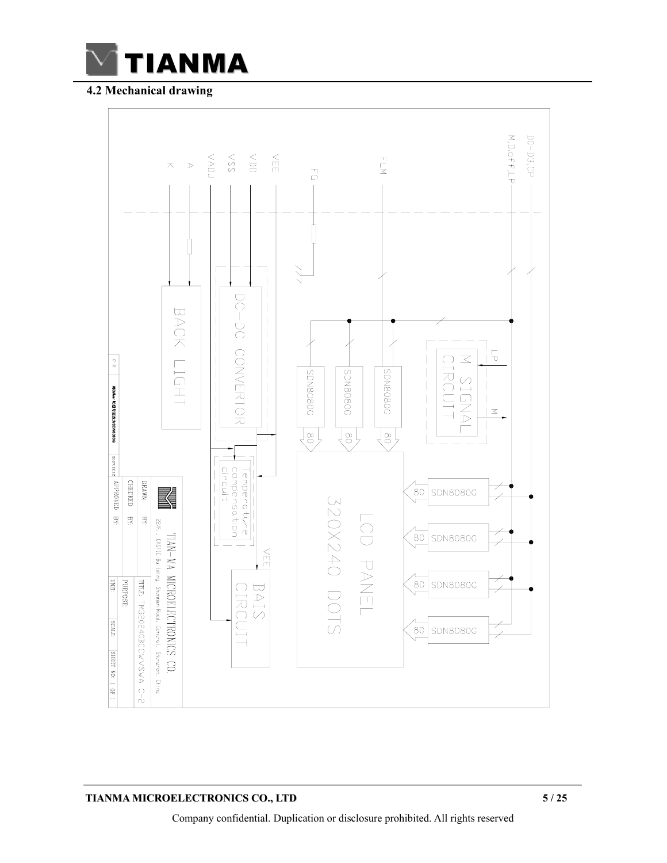

**4.2 Mechanical drawing** 

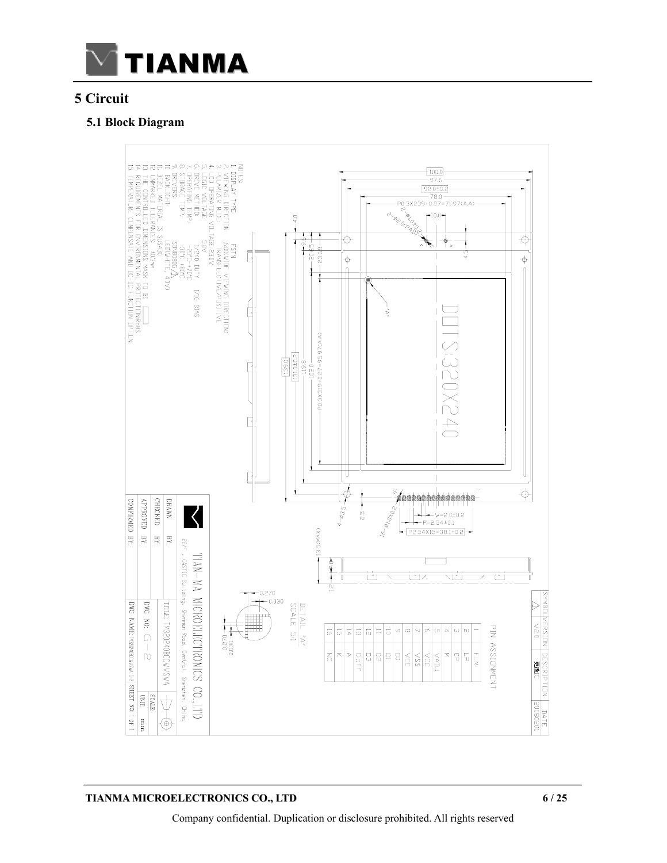

## **5 Circuit**

#### **5.1 Block Diagram**

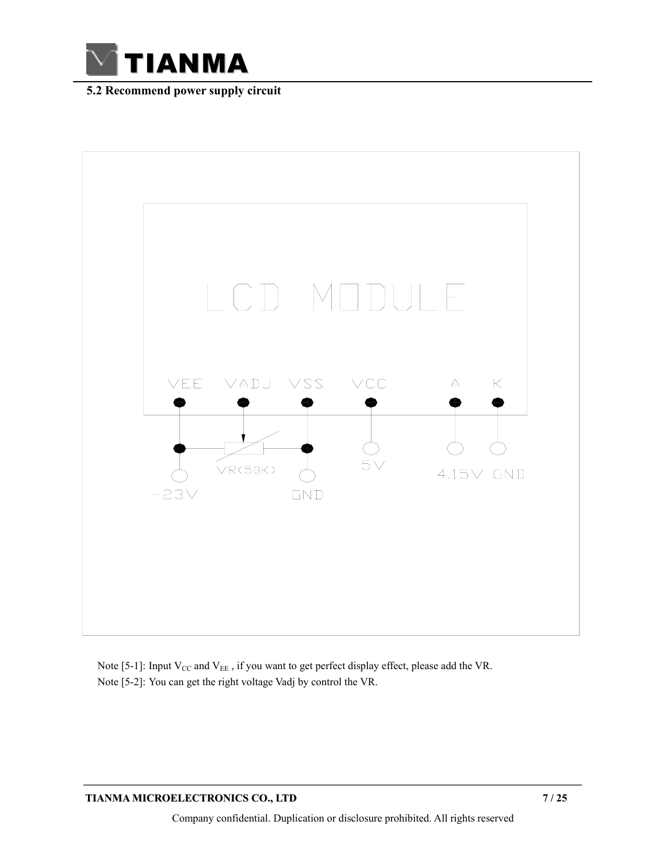

**5.2 Recommend power supply circuit** 



Note [5-1]: Input  $V_{CC}$  and  $V_{EE}$ , if you want to get perfect display effect, please add the VR. Note [5-2]: You can get the right voltage Vadj by control the VR.

#### **TIANMA MICROELECTRONICS CO., LTD 7 / 25**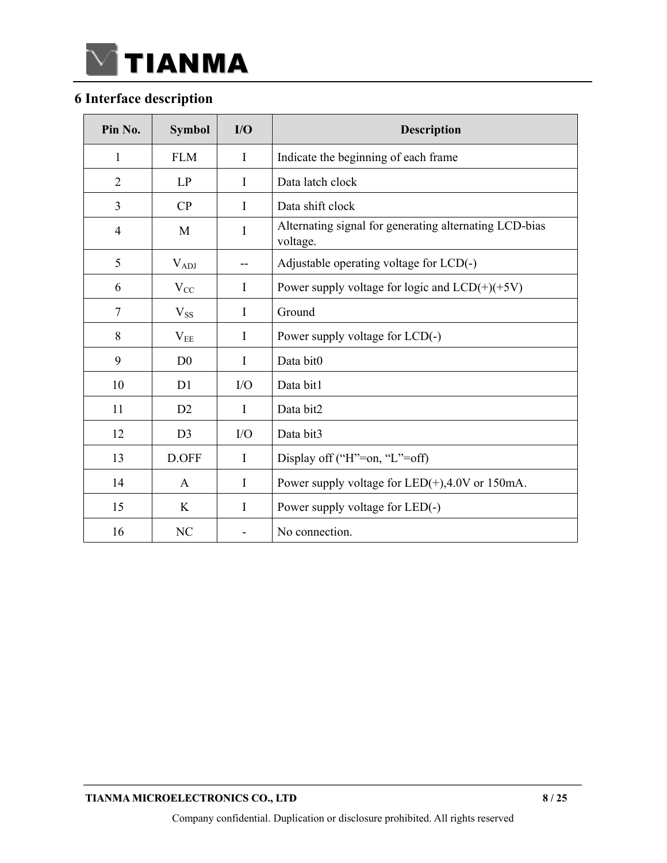# $\blacksquare$ TIANMA

## **6 Interface description**

| Pin No.        | <b>Symbol</b>  | I/O         | <b>Description</b>                                                 |
|----------------|----------------|-------------|--------------------------------------------------------------------|
| $\mathbf{1}$   | <b>FLM</b>     | $\mathbf I$ | Indicate the beginning of each frame                               |
| $\overline{2}$ | LP             | $\mathbf I$ | Data latch clock                                                   |
| 3              | CP             | $\mathbf I$ | Data shift clock                                                   |
| $\overline{4}$ | M              | $\mathbf I$ | Alternating signal for generating alternating LCD-bias<br>voltage. |
| 5              | $V_{ADJ}$      | --          | Adjustable operating voltage for LCD(-)                            |
| 6              | $V_{CC}$       | $\mathbf I$ | Power supply voltage for logic and $LCD(+)(+5V)$                   |
| $\overline{7}$ | $V_{SS}$       | $\mathbf I$ | Ground                                                             |
| 8              | $V_{EE}$       | $\mathbf I$ | Power supply voltage for LCD(-)                                    |
| 9              | D <sub>0</sub> | I           | Data bit0                                                          |
| 10             | D1             | I/O         | Data bit1                                                          |
| 11             | D2             | $\mathbf I$ | Data bit2                                                          |
| 12             | D <sub>3</sub> | I/O         | Data bit3                                                          |
| 13             | D.OFF          | $\mathbf I$ | Display off ("H"= $on$ , "L"= $off$ )                              |
| 14             | A              | $\mathbf I$ | Power supply voltage for $LED(+)$ , 4.0V or 150mA.                 |
| 15             | K              | I           | Power supply voltage for LED(-)                                    |
| 16             | NC             |             | No connection.                                                     |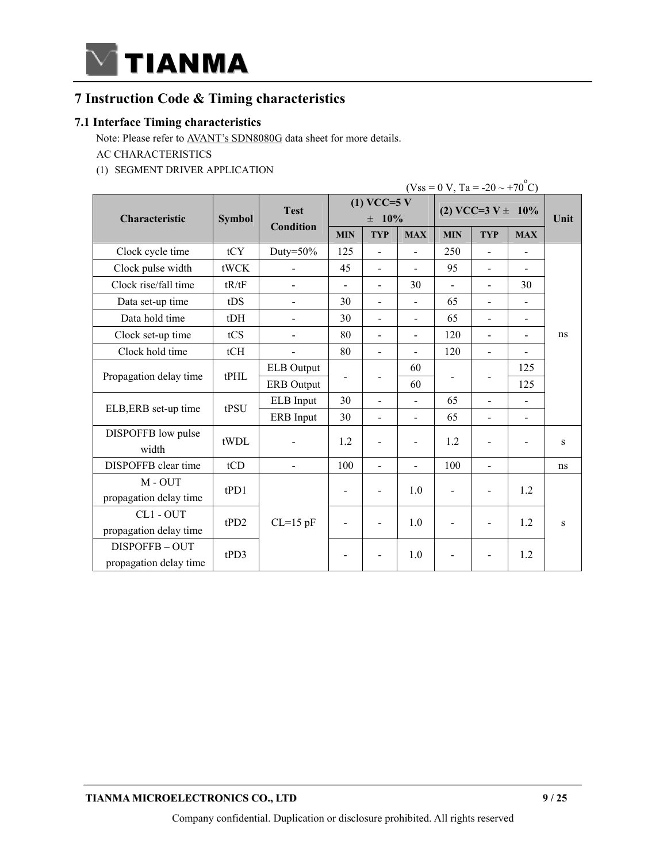

## **7 Instruction Code & Timing characteristics**

#### **7.1 Interface Timing characteristics**

Note: Please refer to AVANT's SDN8080G data sheet for more details.

AC CHARACTERISTICS

(1) SEGMENT DRIVER APPLICATION

| $(Vss = 0 V, Ta = -20 \sim +70^{\circ}C)$ |               |                   |                             |                          |                |                        |                              |                              |      |
|-------------------------------------------|---------------|-------------------|-----------------------------|--------------------------|----------------|------------------------|------------------------------|------------------------------|------|
| Characteristic                            | <b>Symbol</b> | <b>Test</b>       | $(1)$ VCC=5 V<br>$\pm 10\%$ |                          |                | (2) VCC=3 $V \pm 10\%$ |                              |                              | Unit |
|                                           |               | <b>Condition</b>  | <b>MIN</b>                  | <b>TYP</b>               | <b>MAX</b>     | <b>MIN</b>             | <b>TYP</b>                   | <b>MAX</b>                   |      |
| Clock cycle time                          | tCY           | Duty= $50\%$      | 125                         | $\blacksquare$           | ÷,             | 250                    | $\blacksquare$               |                              |      |
| Clock pulse width                         | tWCK          | $\blacksquare$    | 45                          | $\blacksquare$           | $\overline{a}$ | 95                     | $\blacksquare$               | $\qquad \qquad \blacksquare$ |      |
| Clock rise/fall time                      | tR/tF         | $\blacksquare$    | $\blacksquare$              | $\blacksquare$           | 30             | $\bar{\phantom{a}}$    | $\blacksquare$               | 30                           |      |
| Data set-up time                          | tDS           | $\blacksquare$    | 30                          | ÷                        | $\blacksquare$ | 65                     | $\blacksquare$               | L,                           |      |
| Data hold time                            | tDH           |                   | 30                          | $\blacksquare$           | $\blacksquare$ | 65                     | $\blacksquare$               | $\overline{\phantom{0}}$     |      |
| Clock set-up time                         | tCS           |                   | 80                          |                          | $\blacksquare$ | 120                    | $\blacksquare$               | $\blacksquare$               | ns   |
| Clock hold time                           | tCH           |                   | 80                          | $\blacksquare$           | $\blacksquare$ | 120                    | $\qquad \qquad \blacksquare$ |                              |      |
|                                           | tPHL          | <b>ELB</b> Output |                             |                          | 60             |                        |                              | 125                          |      |
| Propagation delay time                    |               |                   | <b>ERB</b> Output           | $\overline{\phantom{0}}$ |                | 60                     | $\qquad \qquad \blacksquare$ |                              | 125  |
| ELB, ERB set-up time                      | tPSU          | ELB Input         | 30                          | $\blacksquare$           | $\blacksquare$ | 65                     | $\blacksquare$               | $\overline{\phantom{a}}$     |      |
|                                           |               | ERB Input         | 30                          | $\blacksquare$           | $\blacksquare$ | 65                     | $\blacksquare$               | $\blacksquare$               |      |
| DISPOFFB low pulse<br>width               | tWDL          |                   | 1.2                         |                          | $\blacksquare$ | 1.2                    |                              |                              | S    |
| DISPOFFB clear time                       | tCD           | $\mathbf{r}$      | 100                         | $\overline{a}$           | $\overline{a}$ | 100                    | L,                           |                              | ns   |
| M-OUT<br>propagation delay time           | tPD1          |                   | $\overline{\phantom{a}}$    |                          | 1.0            | $\blacksquare$         | $\qquad \qquad \blacksquare$ | 1.2                          |      |
| CL1 - OUT<br>propagation delay time       | tPD2          | $CL=15$ pF        | $\blacksquare$              | $\blacksquare$           | 1.0            | $\blacksquare$         | $\qquad \qquad \blacksquare$ | 1.2                          | S    |
| DISPOFFB-OUT<br>propagation delay time    | tPD3          |                   |                             |                          | 1.0            |                        |                              | 1.2                          |      |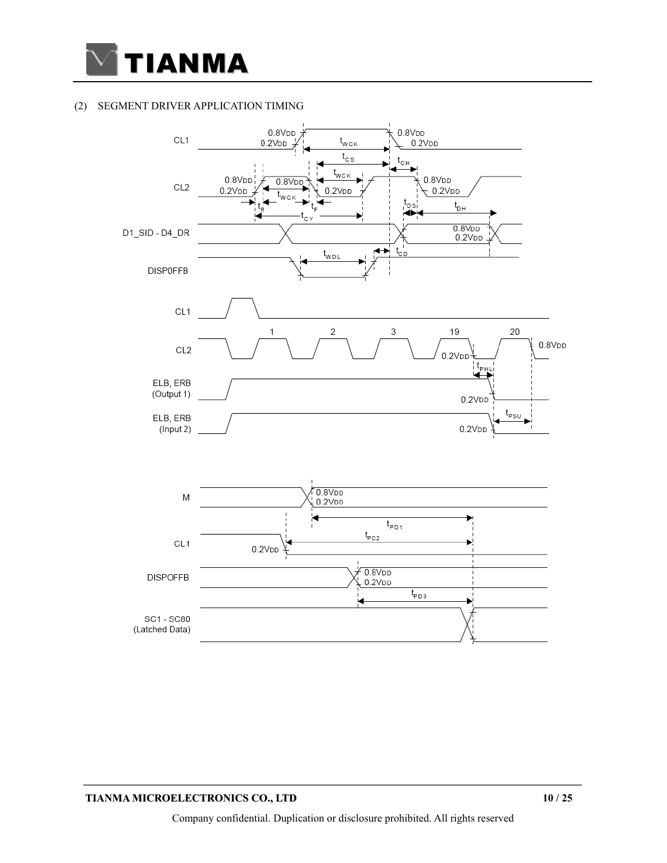

#### (2) SEGMENT DRIVER APPLICATION TIMING

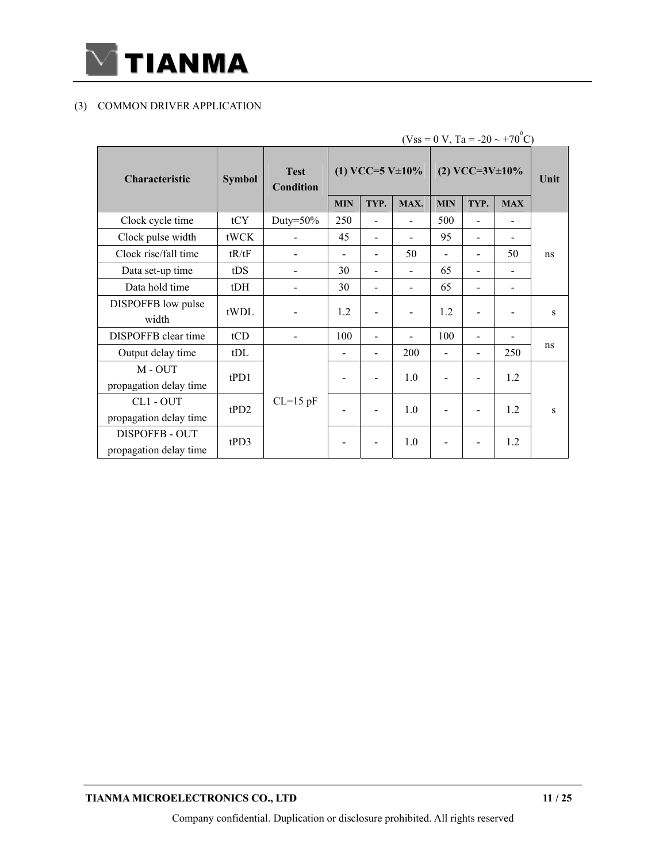

#### (3) COMMON DRIVER APPLICATION

| $(Vss = 0 V, Ta = -20 \sim +70^{\circ}C)$       |               |                                 |                              |                              |                |                |                              |                              |    |
|-------------------------------------------------|---------------|---------------------------------|------------------------------|------------------------------|----------------|----------------|------------------------------|------------------------------|----|
| <b>Characteristic</b>                           | <b>Symbol</b> | <b>Test</b><br><b>Condition</b> |                              | (1) VCC=5 V $\pm$ 10%        |                |                | (2) VCC=3V $\pm$ 10%         |                              |    |
|                                                 |               |                                 | <b>MIN</b>                   | TYP.                         | MAX.           | <b>MIN</b>     | TYP.                         | <b>MAX</b>                   |    |
| Clock cycle time                                | tCY           | Duty= $50\%$                    | 250                          |                              |                | 500            |                              |                              |    |
| Clock pulse width                               | tWCK          |                                 | 45                           | $\blacksquare$               |                | 95             | $\blacksquare$               |                              |    |
| Clock rise/fall time                            | tR/tF         |                                 |                              | $\blacksquare$               | 50             | $\blacksquare$ | $\blacksquare$               | 50                           | ns |
| Data set-up time                                | tDS           |                                 | 30                           | $\qquad \qquad \blacksquare$ |                | 65             | $\qquad \qquad \blacksquare$ |                              |    |
| Data hold time                                  | tDH           |                                 | 30                           | $\blacksquare$               |                | 65             | $\blacksquare$               | $\qquad \qquad \blacksquare$ |    |
| DISPOFFB low pulse<br>width                     | tWDL          |                                 | 1.2                          |                              |                | 1.2            | $\qquad \qquad \blacksquare$ |                              | S  |
| DISPOFFB clear time                             | tCD           | $\blacksquare$                  | 100                          | $\blacksquare$               | $\blacksquare$ | 100            | L,                           |                              |    |
| Output delay time                               | tDL           |                                 | -                            | $\blacksquare$               | 200            | $\blacksquare$ | $\blacksquare$               | 250                          | ns |
| M-OUT<br>propagation delay time                 | tPD1          |                                 |                              |                              | 1.0            |                |                              | 1.2                          |    |
| CL1 - OUT<br>propagation delay time             | tPD2          | $CL=15$ pF                      | $\qquad \qquad \blacksquare$ | $\blacksquare$               | 1.0            | $\blacksquare$ | $\overline{\phantom{0}}$     | 1.2                          | S  |
| <b>DISPOFFB - OUT</b><br>propagation delay time | tPD3          |                                 |                              |                              | 1.0            |                |                              | 1.2                          |    |

### $(Vss = 0 V, Ta = -20 \sim +70^{\circ}$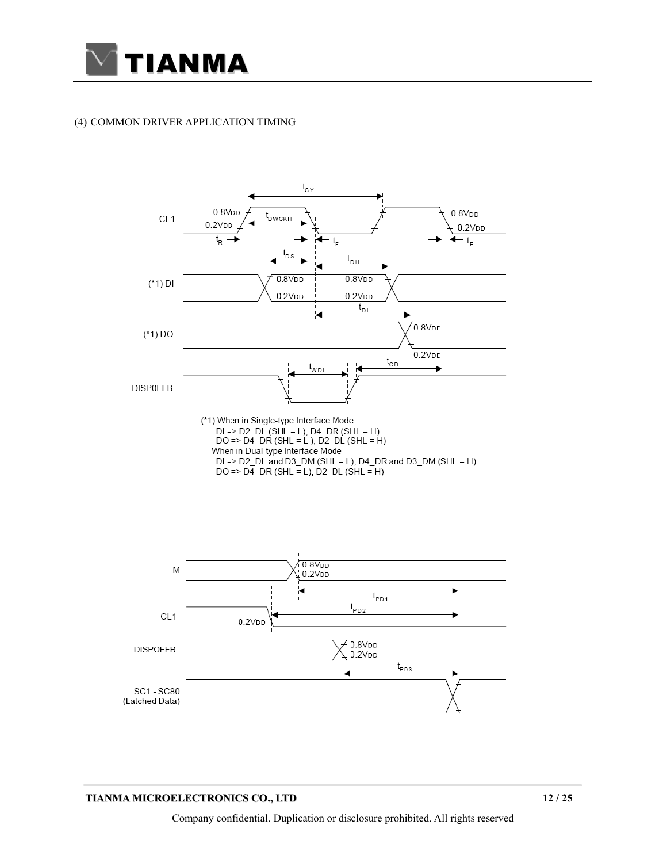

#### (4) COMMON DRIVER APPLICATION TIMING



**TIANMA MICROELECTRONICS CO., LTD 12 / 25**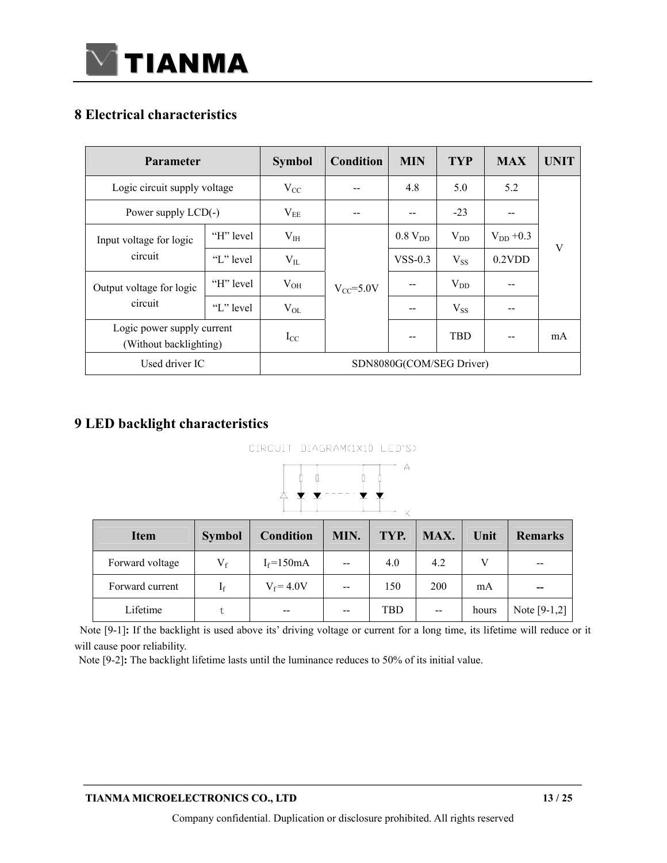

## **8 Electrical characteristics**

| <b>Parameter</b>                                     |           | <b>Symbol</b>            | Condition       | <b>MIN</b>          | <b>TYP</b> | <b>MAX</b>    | <b>UNIT</b> |
|------------------------------------------------------|-----------|--------------------------|-----------------|---------------------|------------|---------------|-------------|
| Logic circuit supply voltage                         |           | $V_{CC}$                 |                 | 4.8                 | 5.0        | 5.2           |             |
| Power supply LCD(-)                                  |           | $V_{EE}$                 |                 |                     | $-23$      |               |             |
| Input voltage for logic                              | "H" level | $V_{IH}$                 |                 | 0.8 V <sub>DD</sub> | $V_{DD}$   | $V_{DD} +0.3$ | V           |
| circuit                                              | "L" level | $V_{IL}$                 | $V_{CC} = 5.0V$ | $VSS-0.3$           | $V_{SS}$   | 0.2VDD        |             |
| Output voltage for logic<br>circuit                  | "H" level | $V_{OH}$                 |                 |                     | $V_{DD}$   |               |             |
|                                                      | "L" level | $V_{OL}$                 |                 | $- -$               | $V_{SS}$   | $- -$         |             |
| Logic power supply current<br>(Without backlighting) |           | $I_{CC}$                 |                 |                     | <b>TBD</b> | $- -$         | mA          |
| Used driver IC                                       |           | SDN8080G(COM/SEG Driver) |                 |                     |            |               |             |

## **9 LED backlight characteristics**

| CIRCUIT DIAGRAM(1X10 LED'S) |  |
|-----------------------------|--|
|                             |  |



| <b>Item</b>     | <b>Symbol</b>           | Condition             | MIN. | TYP.       | MAX.  | Unit  | <b>Remarks</b> |
|-----------------|-------------------------|-----------------------|------|------------|-------|-------|----------------|
| Forward voltage | $V_{\rm f}$             | $I_f = 150 \text{mA}$ | $-$  | 4.0        | 4.2   |       |                |
| Forward current | $\mathrm{I}_\mathrm{f}$ | $V_f = 4.0V$          | $-$  | 150        | 200   | mA    |                |
| Lifetime        | t.                      | --                    | --   | <b>TBD</b> | $- -$ | hours | Note $[9-1,2]$ |

 Note [9-1]**:** If the backlight is used above its' driving voltage or current for a long time, its lifetime will reduce or it will cause poor reliability.

Note [9-2]**:** The backlight lifetime lasts until the luminance reduces to 50% of its initial value.

#### **TIANMA MICROELECTRONICS CO., LTD 13 / 25**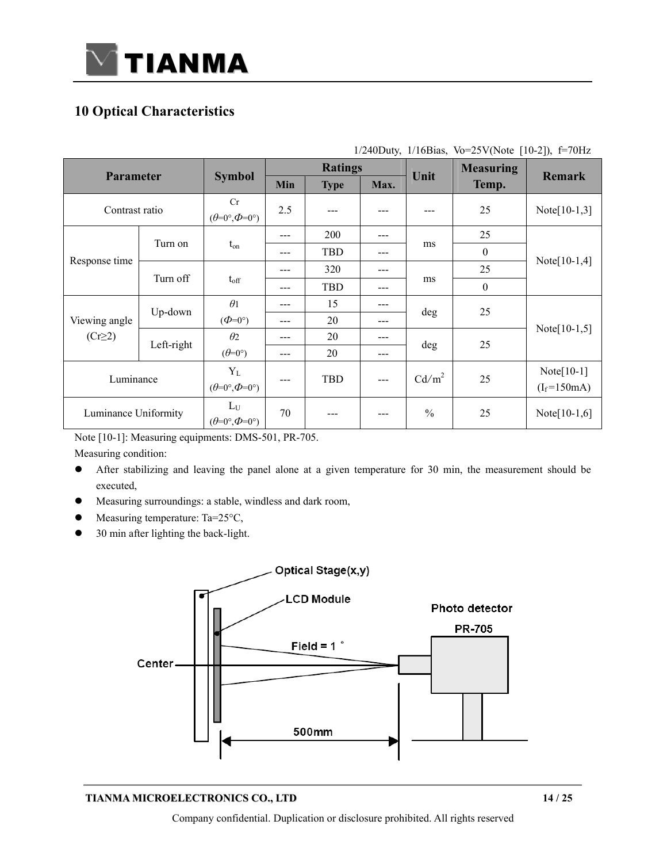

## **10 Optical Characteristics**

|                      |            |                                          |     |                | 1/240Duty, 1/16Bias, Vo=25V(Note   10-2), $t=70Hz$ |                   |                  |                               |  |
|----------------------|------------|------------------------------------------|-----|----------------|----------------------------------------------------|-------------------|------------------|-------------------------------|--|
|                      |            |                                          |     | <b>Ratings</b> |                                                    |                   | <b>Measuring</b> | <b>Remark</b>                 |  |
| <b>Parameter</b>     |            | <b>Symbol</b>                            | Min | <b>Type</b>    | Max.                                               | Unit              | Temp.            |                               |  |
| Contrast ratio       |            | Cr<br>$(\theta=0^\circ, \Phi=0^\circ)$   | 2.5 | ---            |                                                    |                   | 25               | $Note[10-1,3]$                |  |
|                      | Turn on    |                                          | --- | 200            | ---                                                | ms                | 25               | $Note[10-1,4]$                |  |
|                      |            | $t_{on}$                                 | --- | <b>TBD</b>     | ---                                                |                   | $\boldsymbol{0}$ |                               |  |
| Response time        | Turn off   |                                          | --- | 320            | ---                                                | ms                | 25               |                               |  |
|                      |            | $t_{\rm off}$                            | --- | <b>TBD</b>     | ---                                                |                   | $\mathbf{0}$     |                               |  |
|                      | Up-down    | $\theta$ 1                               | --- | 15             | ---                                                | deg               | 25               | $Note[10-1,5]$                |  |
| Viewing angle        |            | $(\Phi=0^{\circ})$                       | --- | 20             | ---                                                |                   |                  |                               |  |
| $(Cr \geq 2)$        | Left-right | $\theta$ 2                               | --- | 20             | ---                                                | deg               | 25               |                               |  |
|                      |            | $(\theta = 0^{\circ})$                   | --- | 20             | ---                                                |                   |                  |                               |  |
| Luminance            |            | $Y_L$<br>$(\theta=0^\circ,\Phi=0^\circ)$ | --- | TBD            | $---$                                              | Cd/m <sup>2</sup> | 25               | Note[10-1]<br>$(I_f = 150mA)$ |  |
| Luminance Uniformity |            | $L_U$<br>$(\theta=0^\circ,\phi=0^\circ)$ | 70  | ---            |                                                    | $\frac{0}{0}$     | 25               | $Note[10-1,6]$                |  |

1/240Duty, 1/16Bias, Vo=25V(Note [10-2]), f=70Hz

Note [10-1]: Measuring equipments: DMS-501, PR-705.

Measuring condition:

- After stabilizing and leaving the panel alone at a given temperature for 30 min, the measurement should be executed,
- $\bullet$  Measuring surroundings: a stable, windless and dark room,
- Measuring temperature: Ta= $25^{\circ}$ C,
- 30 min after lighting the back-light.

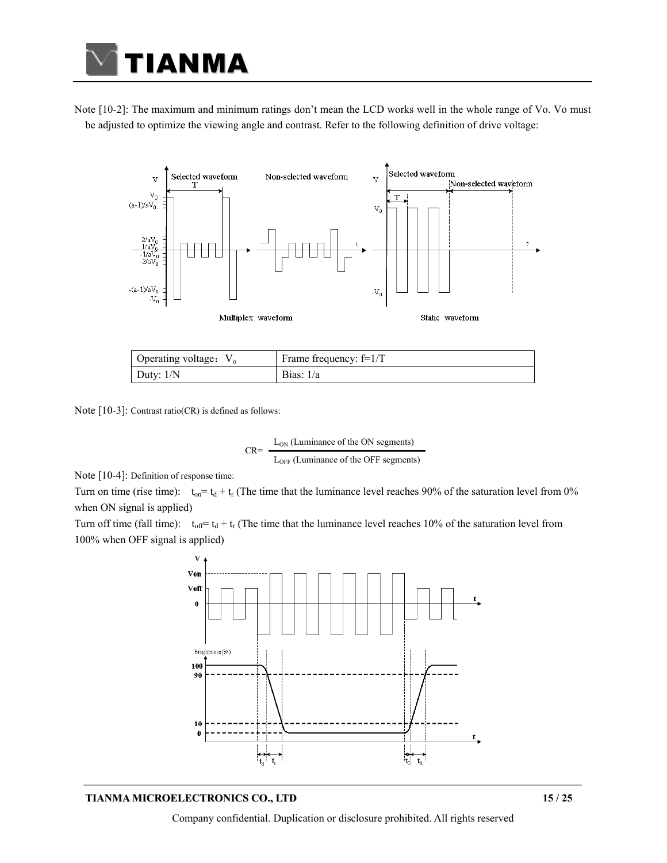

Note [10-2]: The maximum and minimum ratings don't mean the LCD works well in the whole range of Vo. Vo must be adjusted to optimize the viewing angle and contrast. Refer to the following definition of drive voltage:



| Operating voltage: $V_0$ | Frame frequency: $f=1/T$ |
|--------------------------|--------------------------|
| Duty: $1/N$              | Bias: $1/a$              |

Note [10-3]: Contrast ratio(CR) is defined as follows:

$$
CR = \frac{L_{ON} (Luminance of the ON segments)}{L_{OFF} (Luminance of the OFF segments)}
$$

Note [10-4]: Definition of response time:

Turn on time (rise time):  $t_{on} = t_d + t_r$  (The time that the luminance level reaches 90% of the saturation level from 0% when ON signal is applied)

Turn off time (fall time):  $t_{off} = t_d + t_r$  (The time that the luminance level reaches 10% of the saturation level from 100% when OFF signal is applied)



#### **TIANMA MICROELECTRONICS CO., LTD 15 / 25**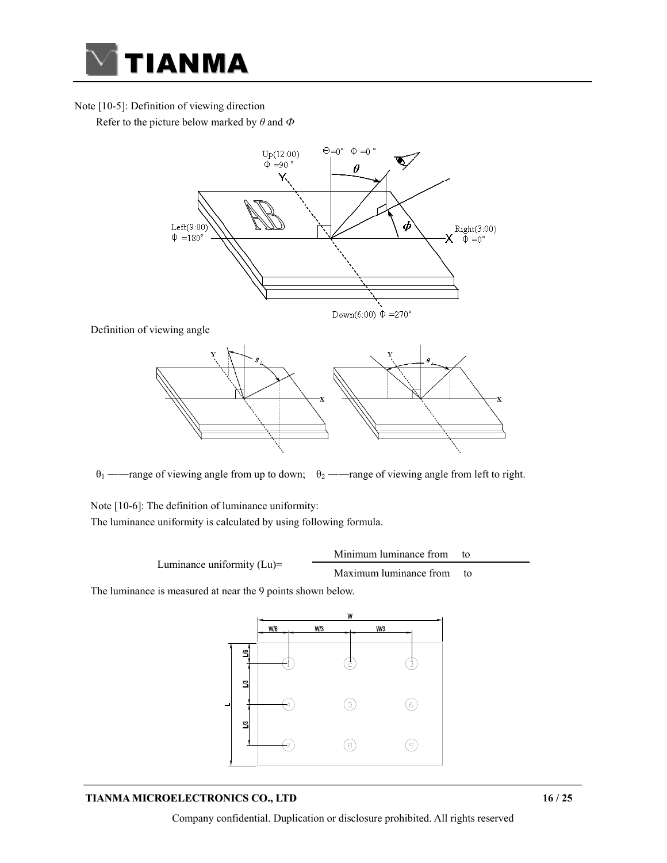

#### Note [10-5]: Definition of viewing direction

Refer to the picture below marked by  $\theta$  and  $\Phi$ 



 $\theta_1$  ——range of viewing angle from up to down;  $\theta_2$  ——range of viewing angle from left to right.

Note [10-6]: The definition of luminance uniformity:

The luminance uniformity is calculated by using following formula.

Luminance uniformity (Lu)= Minimum luminance from to Maximum luminance from to

The luminance is measured at near the 9 points shown below.



#### **TIANMA MICROELECTRONICS CO., LTD 16 / 25**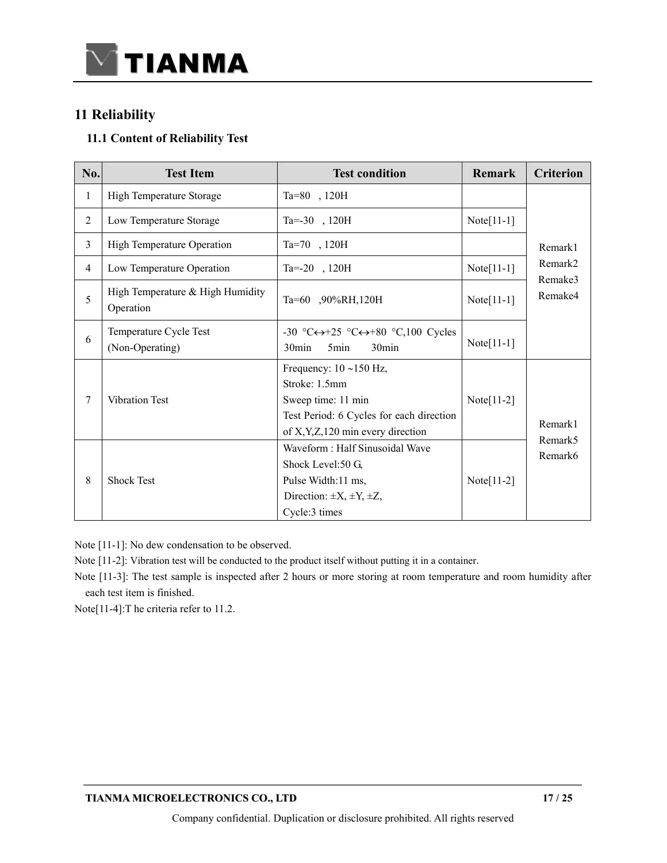

## **11 Reliability**

#### **11.1 Content of Reliability Test**

| No.            | <b>Test Item</b>                              | <b>Test condition</b>                                                                                                                                  | <b>Remark</b> | <b>Criterion</b>               |
|----------------|-----------------------------------------------|--------------------------------------------------------------------------------------------------------------------------------------------------------|---------------|--------------------------------|
| 1              | High Temperature Storage                      | $Ta=80$ , 120H                                                                                                                                         |               |                                |
| 2              | Low Temperature Storage                       | Ta= $-30$ , 120H                                                                                                                                       | $Note[11-1]$  |                                |
| 3              | High Temperature Operation                    | $Ta=70$ , 120H                                                                                                                                         |               | Remark1                        |
| $\overline{4}$ | Low Temperature Operation                     | Ta= $-20$ , 120H                                                                                                                                       | $Note[11-1]$  | Remark2<br>Remake3             |
| 5              | High Temperature & High Humidity<br>Operation | Ta=60, 90%RH, 120H                                                                                                                                     | $Note[11-1]$  | Remake4                        |
| 6              | Temperature Cycle Test<br>(Non-Operating)     | -30 °C $\leftrightarrow$ +25 °C $\leftrightarrow$ +80 °C,100 Cycles<br>30 <sub>min</sub><br>30min<br>5min                                              | Note[11-1]    |                                |
| 7              | <b>Vibration Test</b>                         | Frequency: $10 \sim 150$ Hz,<br>Stroke: 1.5mm<br>Sweep time: 11 min<br>Test Period: 6 Cycles for each direction<br>of X, Y, Z, 120 min every direction | $Note[11-2]$  | Remark1                        |
| 8              | <b>Shock Test</b>                             | Waveform: Half Sinusoidal Wave<br>Shock Level:50 G,<br>Pulse Width:11 ms,<br>Direction: $\pm X$ , $\pm Y$ , $\pm Z$ ,<br>Cycle:3 times                 | $Note[11-2]$  | Remark <sub>5</sub><br>Remark6 |

Note [11-1]: No dew condensation to be observed.

Note [11-2]: Vibration test will be conducted to the product itself without putting it in a container.

Note [11-3]: The test sample is inspected after 2 hours or more storing at room temperature and room humidity after each test item is finished.

Note[11-4]:T he criteria refer to 11.2.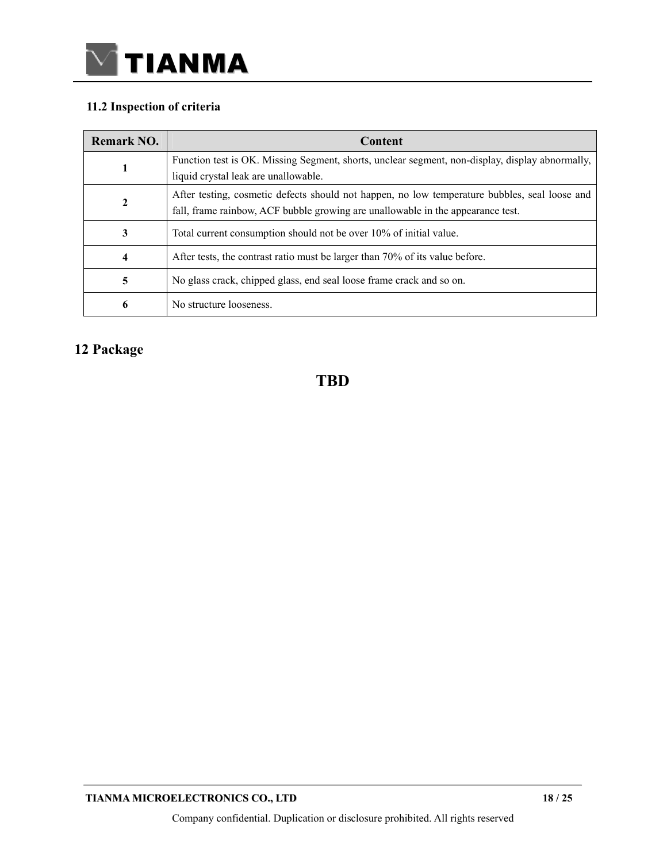# $\blacksquare$ TIANMA

### **11.2 Inspection of criteria**

| <b>Remark NO.</b> | Content                                                                                         |
|-------------------|-------------------------------------------------------------------------------------------------|
|                   | Function test is OK. Missing Segment, shorts, unclear segment, non-display, display abnormally, |
|                   | liquid crystal leak are unallowable.                                                            |
| 2                 | After testing, cosmetic defects should not happen, no low temperature bubbles, seal loose and   |
|                   | fall, frame rainbow, ACF bubble growing are unallowable in the appearance test.                 |
| 3                 | Total current consumption should not be over 10% of initial value.                              |
| 4                 | After tests, the contrast ratio must be larger than 70% of its value before.                    |
|                   |                                                                                                 |
| 5                 | No glass crack, chipped glass, end seal loose frame crack and so on.                            |
| 6                 | No structure looseness.                                                                         |

## **12 Package**

**TBD**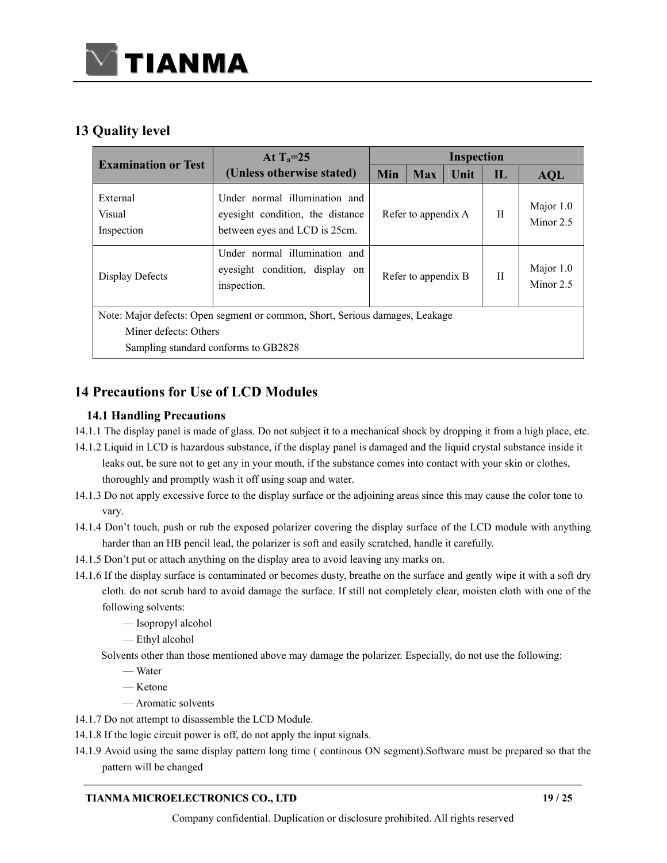## **13 Quality level**

| <b>Examination or Test</b>                                                                                                                    | At $T_a = 25$                                                                                      | <b>Inspection</b>   |                     |      |                          |                          |
|-----------------------------------------------------------------------------------------------------------------------------------------------|----------------------------------------------------------------------------------------------------|---------------------|---------------------|------|--------------------------|--------------------------|
|                                                                                                                                               | (Unless otherwise stated)                                                                          | Min                 | <b>Max</b>          | Unit | $\Pi$                    | <b>AQL</b>               |
| External<br>Visual<br>Inspection                                                                                                              | Under normal illumination and<br>eyesight condition, the distance<br>between eyes and LCD is 25cm. |                     | Refer to appendix A |      | H                        | Major 1.0<br>Minor $2.5$ |
| Display Defects                                                                                                                               | Under normal illumination and<br>eyesight condition, display on<br>inspection.                     | Refer to appendix B |                     | Н    | Major 1.0<br>Minor $2.5$ |                          |
| Note: Major defects: Open segment or common, Short, Serious damages, Leakage<br>Miner defects: Others<br>Sampling standard conforms to GB2828 |                                                                                                    |                     |                     |      |                          |                          |

## **14 Precautions for Use of LCD Modules**

#### **14.1 Handling Precautions**

- 14.1.1 The display panel is made of glass. Do not subject it to a mechanical shock by dropping it from a high place, etc.
- 14.1.2 Liquid in LCD is hazardous substance, if the display panel is damaged and the liquid crystal substance inside it leaks out, be sure not to get any in your mouth, if the substance comes into contact with your skin or clothes, thoroughly and promptly wash it off using soap and water.
- 14.1.3 Do not apply excessive force to the display surface or the adjoining areas since this may cause the color tone to vary.
- 14.1.4 Don't touch, push or rub the exposed polarizer covering the display surface of the LCD module with anything harder than an HB pencil lead, the polarizer is soft and easily scratched, handle it carefully.
- 14.1.5 Don't put or attach anything on the display area to avoid leaving any marks on.
- 14.1.6 If the display surface is contaminated or becomes dusty, breathe on the surface and gently wipe it with a soft dry cloth. do not scrub hard to avoid damage the surface. If still not completely clear, moisten cloth with one of the following solvents:
	- Isopropyl alcohol
	- Ethyl alcohol
	- Solvents other than those mentioned above may damage the polarizer. Especially, do not use the following:
		- Water
		- Ketone
		- Aromatic solvents
- 14.1.7 Do not attempt to disassemble the LCD Module.
- 14.1.8 If the logic circuit power is off, do not apply the input signals.
- 14.1.9 Avoid using the same display pattern long time ( continous ON segment).Software must be prepared so that the pattern will be changed

#### **TIANMA MICROELECTRONICS CO., LTD 19 / 25**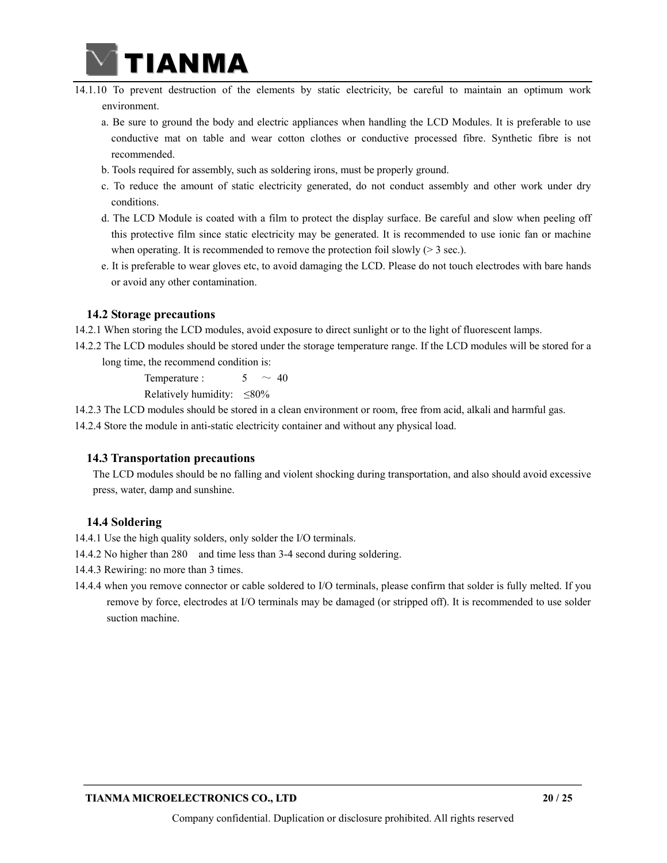

- 14.1.10 To prevent destruction of the elements by static electricity, be careful to maintain an optimum work environment.
	- a. Be sure to ground the body and electric appliances when handling the LCD Modules. It is preferable to use conductive mat on table and wear cotton clothes or conductive processed fibre. Synthetic fibre is not recommended.
	- b. Tools required for assembly, such as soldering irons, must be properly ground.
	- c. To reduce the amount of static electricity generated, do not conduct assembly and other work under dry conditions.
	- d. The LCD Module is coated with a film to protect the display surface. Be careful and slow when peeling off this protective film since static electricity may be generated. It is recommended to use ionic fan or machine when operating. It is recommended to remove the protection foil slowly  $(> 3 \text{ sec.})$ .
	- e. It is preferable to wear gloves etc, to avoid damaging the LCD. Please do not touch electrodes with bare hands or avoid any other contamination.

#### **14.2 Storage precautions**

14.2.1 When storing the LCD modules, avoid exposure to direct sunlight or to the light of fluorescent lamps.

14.2.2 The LCD modules should be stored under the storage temperature range. If the LCD modules will be stored for a long time, the recommend condition is:

Temperature :  $5 \sim 40$ 

Relatively humidity:  $\leq 80\%$ 

14.2.3 The LCD modules should be stored in a clean environment or room, free from acid, alkali and harmful gas.

14.2.4 Store the module in anti-static electricity container and without any physical load.

#### **14.3 Transportation precautions**

The LCD modules should be no falling and violent shocking during transportation, and also should avoid excessive press, water, damp and sunshine.

#### **14.4 Soldering**

14.4.1 Use the high quality solders, only solder the I/O terminals.

14.4.2 No higher than 280 and time less than 3-4 second during soldering.

14.4.3 Rewiring: no more than 3 times.

14.4.4 when you remove connector or cable soldered to I/O terminals, please confirm that solder is fully melted. If you remove by force, electrodes at I/O terminals may be damaged (or stripped off). It is recommended to use solder suction machine.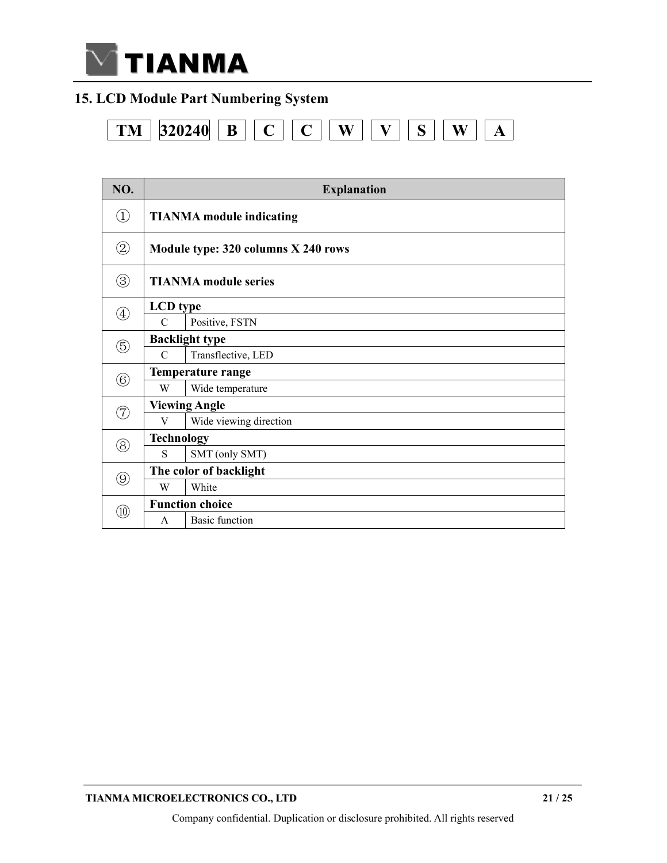

## **15. LCD Module Part Numbering System**



| NO.                                    |                          | <b>Explanation</b>                  |  |  |  |  |  |
|----------------------------------------|--------------------------|-------------------------------------|--|--|--|--|--|
| $\left(1\right)$                       |                          | <b>TIANMA</b> module indicating     |  |  |  |  |  |
| $\circled{2}$                          |                          | Module type: 320 columns X 240 rows |  |  |  |  |  |
| ③                                      |                          | <b>TIANMA</b> module series         |  |  |  |  |  |
| $\circledast$                          | <b>LCD</b> type          |                                     |  |  |  |  |  |
|                                        | C                        | Positive, FSTN                      |  |  |  |  |  |
| $\circledS$                            |                          | <b>Backlight type</b>               |  |  |  |  |  |
|                                        | $\mathcal{C}$            | Transflective, LED                  |  |  |  |  |  |
| $^\copyright$                          | <b>Temperature range</b> |                                     |  |  |  |  |  |
|                                        | W                        | Wide temperature                    |  |  |  |  |  |
| 7)                                     |                          | <b>Viewing Angle</b>                |  |  |  |  |  |
|                                        | V                        | Wide viewing direction              |  |  |  |  |  |
| $^\circledR$                           | <b>Technology</b>        |                                     |  |  |  |  |  |
|                                        | S                        | SMT (only SMT)                      |  |  |  |  |  |
| $\large{\textcircled{\scriptsize{9}}}$ |                          | The color of backlight              |  |  |  |  |  |
|                                        | W                        | White                               |  |  |  |  |  |
| $\left(10\right)$                      |                          | <b>Function choice</b>              |  |  |  |  |  |
|                                        | A                        | Basic function                      |  |  |  |  |  |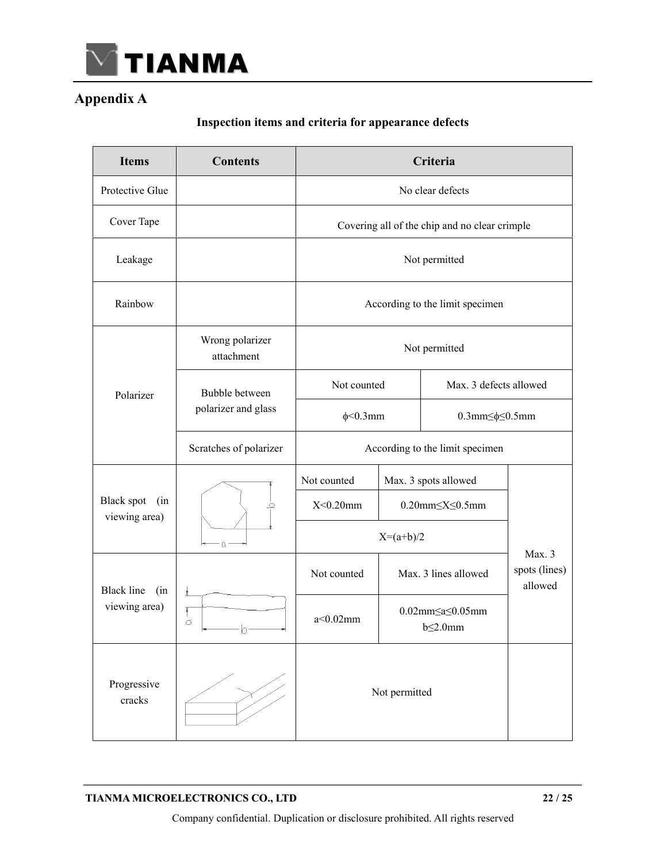

## **Appendix A**

#### **Inspection items and criteria for appearance defects**

| <b>Items</b>                              | <b>Contents</b>               | Criteria                                      |                                                    |                                  |                                    |  |
|-------------------------------------------|-------------------------------|-----------------------------------------------|----------------------------------------------------|----------------------------------|------------------------------------|--|
| Protective Glue                           |                               |                                               |                                                    | No clear defects                 |                                    |  |
| Cover Tape                                |                               | Covering all of the chip and no clear crimple |                                                    |                                  |                                    |  |
| Leakage                                   |                               | Not permitted                                 |                                                    |                                  |                                    |  |
| Rainbow                                   |                               | According to the limit specimen               |                                                    |                                  |                                    |  |
|                                           | Wrong polarizer<br>attachment | Not permitted                                 |                                                    |                                  |                                    |  |
| Polarizer                                 | Bubble between                | Not counted                                   |                                                    | Max. 3 defects allowed           |                                    |  |
|                                           | polarizer and glass           | $\phi$ <0.3mm                                 |                                                    | $0.3$ mm $\leq \phi \leq 0.5$ mm |                                    |  |
|                                           | Scratches of polarizer        | According to the limit specimen               |                                                    |                                  |                                    |  |
|                                           |                               | Not counted                                   | Max. 3 spots allowed                               |                                  |                                    |  |
| <b>Black spot</b><br>(in<br>viewing area) | $\mathfrak{Q}$                | $X<0.20$ mm                                   | $0.20$ mm $\leq$ X $\leq$ 0.5mm                    |                                  |                                    |  |
|                                           |                               | $X=(a+b)/2$                                   |                                                    |                                  |                                    |  |
| <b>Black line</b><br>(in                  |                               | Not counted                                   | Max. 3 lines allowed                               |                                  | Max. 3<br>spots (lines)<br>allowed |  |
| viewing area)                             | $\lhd$                        | $a<0.02$ mm                                   | $0.02$ mm $\leq a \leq 0.05$ mm<br>$b \leq 2.0$ mm |                                  |                                    |  |
| Progressive<br>cracks                     |                               | Not permitted                                 |                                                    |                                  |                                    |  |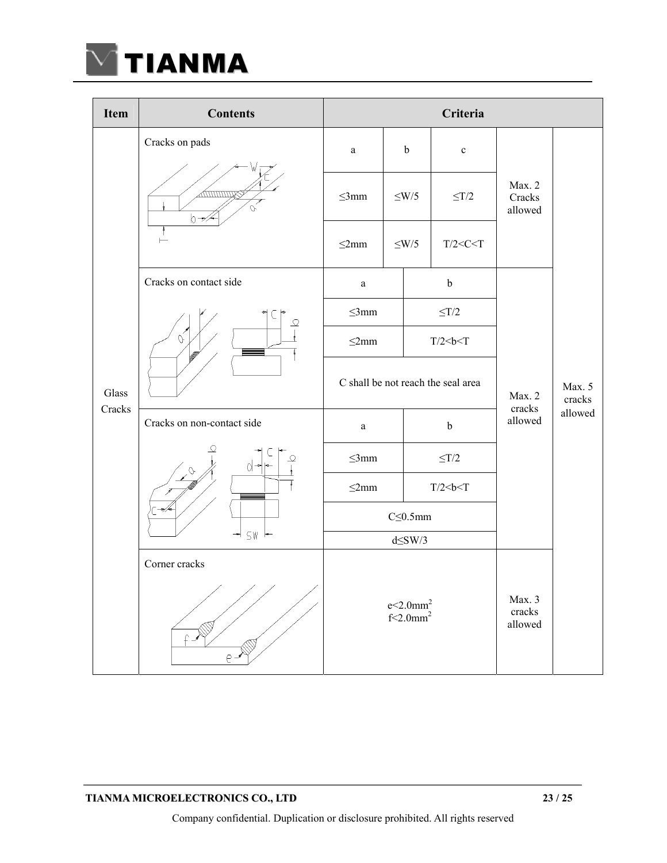

| <b>Item</b>     | <b>Contents</b>            |                                        |  |             | Criteria                    |                             |                  |
|-----------------|----------------------------|----------------------------------------|--|-------------|-----------------------------|-----------------------------|------------------|
|                 | Cracks on pads             | a                                      |  | $\mathbf b$ | $\mathbf c$                 |                             |                  |
| Glass<br>Cracks |                            | $\leq$ 3mm                             |  | $\leq W/5$  | $\leq T/2$                  | Max. 2<br>Cracks<br>allowed |                  |
|                 | ÷<br>$\vdash$              | $\leq$ 2mm                             |  | $\leq W/5$  | T/2 < C < T                 |                             |                  |
|                 | Cracks on contact side     | $\rm{a}$                               |  |             | $\bf b$                     |                             |                  |
|                 | $\circ$<br>O.              | $\leq$ 3mm                             |  |             | $\leq T/2$                  |                             |                  |
|                 |                            | $\leq$ 2mm                             |  | T/2 < b < T |                             |                             |                  |
|                 |                            | C shall be not reach the seal area     |  |             |                             | Max. 2                      | Max. 5<br>cracks |
|                 | Cracks on non-contact side | $\rm{a}$                               |  |             | $\bf b$                     | cracks<br>allowed           | allowed          |
|                 |                            | $\leq$ 3mm                             |  |             | $\leq T/2$                  |                             |                  |
|                 |                            | $\leq$ 2mm                             |  |             | T/2 < b < T                 |                             |                  |
|                 |                            | $C \leq 0.5$ mm                        |  |             |                             |                             |                  |
|                 | ⊸ sw ⊢                     | $d\leq SW/3$                           |  |             |                             |                             |                  |
|                 | Corner cracks              |                                        |  |             |                             |                             |                  |
|                 | $\rho$ -                   | $e<2.0mm^2$<br>$f<2.0$ mm <sup>2</sup> |  |             | Max. 3<br>cracks<br>allowed |                             |                  |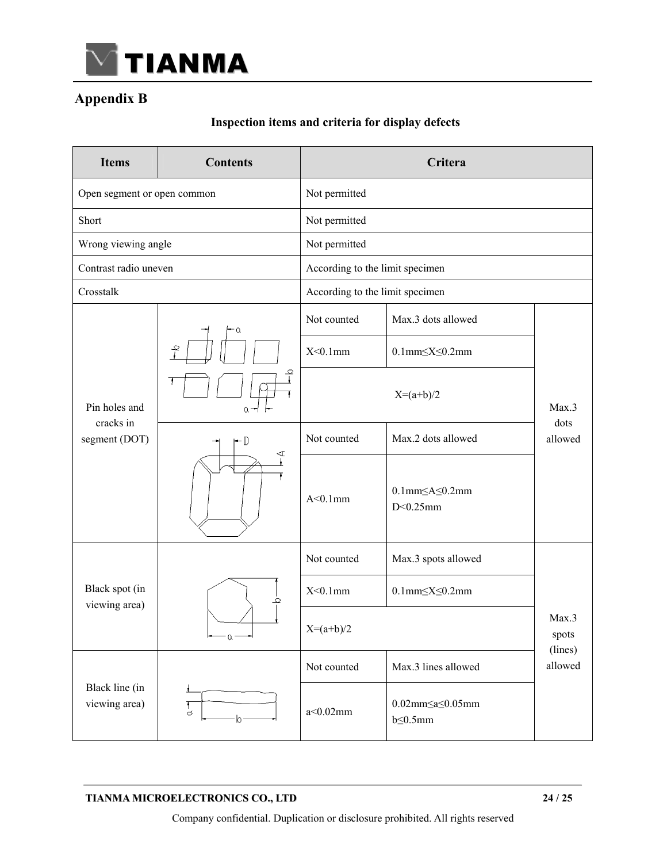

## **Appendix B**

## **Inspection items and criteria for display defects**

| <b>Items</b>                    | <b>Contents</b>                                | Critera                         |                                                    |                    |  |  |  |
|---------------------------------|------------------------------------------------|---------------------------------|----------------------------------------------------|--------------------|--|--|--|
| Open segment or open common     |                                                | Not permitted                   |                                                    |                    |  |  |  |
| Short                           |                                                | Not permitted                   |                                                    |                    |  |  |  |
| Wrong viewing angle             |                                                | Not permitted                   |                                                    |                    |  |  |  |
| Contrast radio uneven           |                                                | According to the limit specimen |                                                    |                    |  |  |  |
| Crosstalk                       |                                                | According to the limit specimen |                                                    |                    |  |  |  |
|                                 | α                                              | Not counted                     | Max.3 dots allowed                                 |                    |  |  |  |
| Pin holes and<br>cracks in      | Q                                              | $X<0.1$ mm                      | $0.1$ mm $\leq$ X $\leq$ 0.2mm                     |                    |  |  |  |
|                                 | $\mathbf{\Omega}$<br>t<br>$\alpha \rightarrow$ |                                 | Max.3<br>dots                                      |                    |  |  |  |
| segment (DOT)                   | $\triangleleft$<br>$\ddagger$                  | Not counted                     | Max.2 dots allowed                                 | allowed            |  |  |  |
|                                 |                                                | A<0.1mm                         | $0.1$ mm $\leq$ A $\leq$ 0.2mm<br>$D < 0.25$ mm    |                    |  |  |  |
|                                 | 으<br>$-\alpha$                                 | Not counted                     | Max.3 spots allowed                                |                    |  |  |  |
| Black spot (in<br>viewing area) |                                                | $X<0.1$ mm                      | $0.1$ mm $\leq$ X $\leq$ 0.2mm                     |                    |  |  |  |
|                                 |                                                | $X=(a+b)/2$                     | Max.3<br>spots                                     |                    |  |  |  |
|                                 |                                                | Not counted                     | Max.3 lines allowed                                | (lines)<br>allowed |  |  |  |
| Black line (in<br>viewing area) | $\frac{1}{\alpha}$<br>$\mathsf{b}$             | a<0.02mm                        | $0.02$ mm $\leq a \leq 0.05$ mm<br>$b \leq 0.5$ mm |                    |  |  |  |